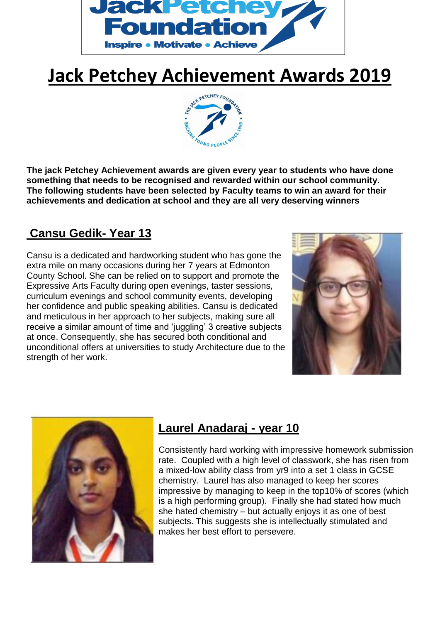

# **Jack Petchey Achievement Awards 2019**



**The jack Petchey Achievement awards are given every year to students who have done something that needs to be recognised and rewarded within our school community. The following students have been selected by Faculty teams to win an award for their achievements and dedication at school and they are all very deserving winners** 

## **Cansu Gedik- Year 13**

Cansu is a dedicated and hardworking student who has gone the extra mile on many occasions during her 7 years at Edmonton County School. She can be relied on to support and promote the Expressive Arts Faculty during open evenings, taster sessions, curriculum evenings and school community events, developing her confidence and public speaking abilities. Cansu is dedicated and meticulous in her approach to her subjects, making sure all receive a similar amount of time and 'juggling' 3 creative subjects at once. Consequently, she has secured both conditional and unconditional offers at universities to study Architecture due to the strength of her work.





## **Laurel Anadaraj - year 10**

Consistently hard working with impressive homework submission rate. Coupled with a high level of classwork, she has risen from a mixed-low ability class from yr9 into a set 1 class in GCSE chemistry. Laurel has also managed to keep her scores impressive by managing to keep in the top10% of scores (which is a high performing group). Finally she had stated how much she hated chemistry – but actually enjoys it as one of best subjects. This suggests she is intellectually stimulated and makes her best effort to persevere.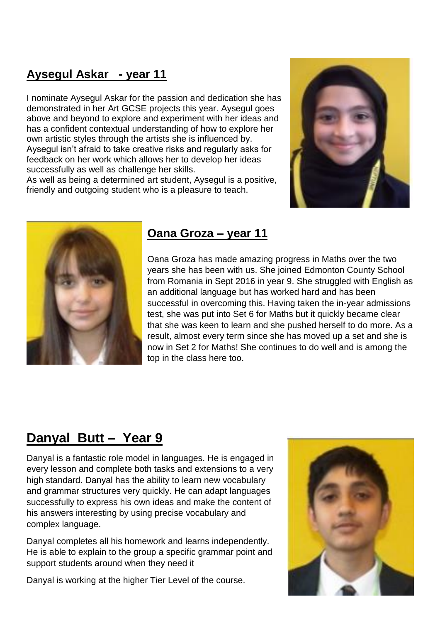#### **Aysegul Askar - year 11**

I nominate Aysegul Askar for the passion and dedication she has demonstrated in her Art GCSE projects this year. Aysegul goes above and beyond to explore and experiment with her ideas and has a confident contextual understanding of how to explore her own artistic styles through the artists she is influenced by. Aysegul isn't afraid to take creative risks and regularly asks for feedback on her work which allows her to develop her ideas successfully as well as challenge her skills.

As well as being a determined art student, Aysegul is a positive, friendly and outgoing student who is a pleasure to teach.





#### **Oana Groza – year 11**

Oana Groza has made amazing progress in Maths over the two years she has been with us. She joined Edmonton County School from Romania in Sept 2016 in year 9. She struggled with English as an additional language but has worked hard and has been successful in overcoming this. Having taken the in-year admissions test, she was put into Set 6 for Maths but it quickly became clear that she was keen to learn and she pushed herself to do more. As a result, almost every term since she has moved up a set and she is now in Set 2 for Maths! She continues to do well and is among the top in the class here too.

# **Danyal Butt – Year 9**

Danyal is a fantastic role model in languages. He is engaged in every lesson and complete both tasks and extensions to a very high standard. Danyal has the ability to learn new vocabulary and grammar structures very quickly. He can adapt languages successfully to express his own ideas and make the content of his answers interesting by using precise vocabulary and complex language.

Danyal completes all his homework and learns independently. He is able to explain to the group a specific grammar point and support students around when they need it

Danyal is working at the higher Tier Level of the course.